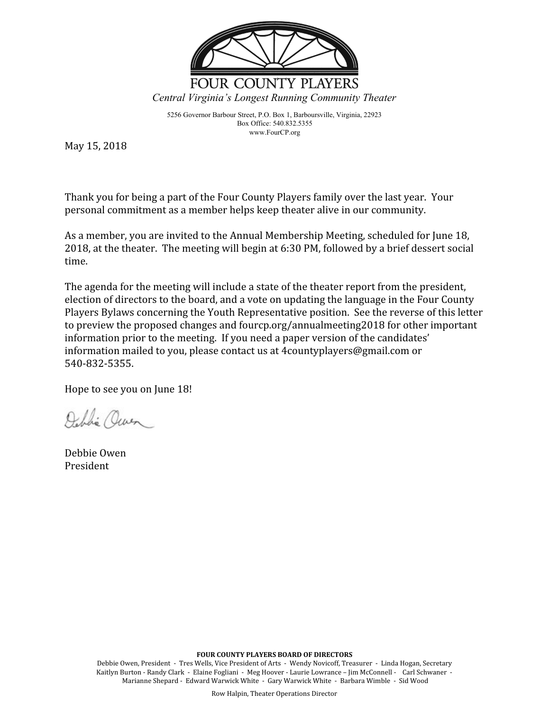

5256 Governor Barbour Street, P.O. Box 1, Barboursville, Virginia, 22923 Box Office: 540.832.5355 www.FourCP.org

May 15, 2018

Thank you for being a part of the Four County Players family over the last year. Your personal commitment as a member helps keep theater alive in our community.

As a member, you are invited to the Annual Membership Meeting, scheduled for June 18, 2018, at the theater. The meeting will begin at 6:30 PM, followed by a brief dessert social time.

The agenda for the meeting will include a state of the theater report from the president, election of directors to the board, and a vote on updating the language in the Four County Players Bylaws concerning the Youth Representative position. See the reverse of this letter to preview the proposed changes and fourcp.org/annualmeeting2018 for other important information prior to the meeting. If you need a paper version of the candidates' information mailed to you, please contact us at 4countyplayers@gmail.com or 540-832-5355.

Hope to see you on June 18!

Deblin Owen

Debbie Owen President

**FOUR COUNTY PLAYERS BOARD OF DIRECTORS**

Debbie Owen, President - Tres Wells, Vice President of Arts - Wendy Novicoff, Treasurer - Linda Hogan, Secretary Kaitlyn Burton - Randy Clark - Elaine Fogliani - Meg Hoover - Laurie Lowrance – Jim McConnell - Carl Schwaner - Marianne Shepard - Edward Warwick White - Gary Warwick White - Barbara Wimble - Sid Wood